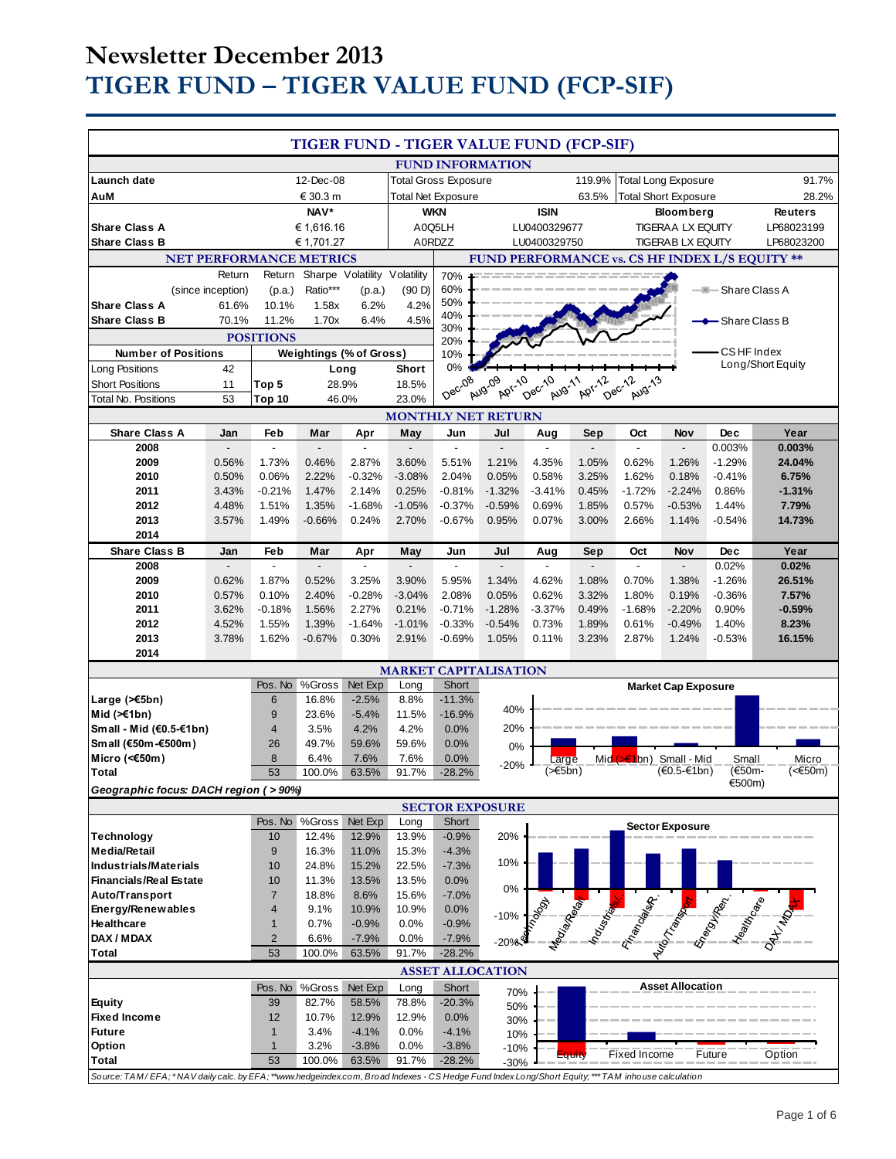# **Newsletter December 2013 TIGER FUND – TIGER VALUE FUND (FCP-SIF)**

| TIGER FUND - TIGER VALUE FUND (FCP-SIF)                                                                                                            |                             |                                |                |                                        |                |                                                |                              |                  |        |                             |                            |                                                                                                                               |                   |
|----------------------------------------------------------------------------------------------------------------------------------------------------|-----------------------------|--------------------------------|----------------|----------------------------------------|----------------|------------------------------------------------|------------------------------|------------------|--------|-----------------------------|----------------------------|-------------------------------------------------------------------------------------------------------------------------------|-------------------|
|                                                                                                                                                    |                             |                                |                |                                        |                |                                                | <b>FUND INFORMATION</b>      |                  |        |                             |                            |                                                                                                                               |                   |
| Launch date                                                                                                                                        |                             |                                | 12-Dec-08      |                                        |                | <b>Total Gross Exposure</b>                    |                              |                  | 119.9% | <b>Total Long Exposure</b>  |                            |                                                                                                                               | 91.7%             |
| AuM                                                                                                                                                |                             |                                | € 30.3 m       |                                        |                | <b>Total Net Exposure</b>                      |                              |                  | 63.5%  | <b>Total Short Exposure</b> |                            |                                                                                                                               | 28.2%             |
|                                                                                                                                                    |                             |                                | NAV*           |                                        |                | <b>WKN</b>                                     |                              | <b>ISIN</b>      |        |                             | <b>Bloomberg</b>           |                                                                                                                               | <b>Reuters</b>    |
| <b>Share Class A</b>                                                                                                                               |                             |                                | € 1.616.16     |                                        |                | A0Q5LH                                         |                              | LU0400329677     |        |                             | <b>TIGERAA LX EQUITY</b>   |                                                                                                                               | LP68023199        |
| <b>Share Class B</b>                                                                                                                               |                             |                                | € 1,701.27     |                                        |                | A0RDZZ                                         |                              | LU0400329750     |        |                             | <b>TIGERAB LX EQUITY</b>   |                                                                                                                               | LP68023200        |
|                                                                                                                                                    |                             | <b>NET PERFORMANCE METRICS</b> |                |                                        |                | FUND PERFORMANCE vs. CS HF INDEX L/S EQUITY ** |                              |                  |        |                             |                            |                                                                                                                               |                   |
|                                                                                                                                                    | Return<br>(since inception) | Return<br>(p.a.)               | Ratio***       | Sharpe Volatility Volatility<br>(p.a.) | (90 D)         | 70%<br>60%                                     |                              |                  |        |                             |                            | <b>E</b> -Share Class A                                                                                                       |                   |
| <b>Share Class A</b>                                                                                                                               | 61.6%                       | 10.1%                          | 1.58x          | 6.2%                                   | 4.2%           | 50%                                            |                              |                  |        |                             |                            |                                                                                                                               |                   |
| <b>Share Class B</b>                                                                                                                               | 70.1%                       | 11.2%                          | 1.70x          | 6.4%                                   | 4.5%           | 40%                                            |                              |                  |        |                             |                            | <del>-</del> Share Class B                                                                                                    |                   |
|                                                                                                                                                    |                             | <b>POSITIONS</b>               |                |                                        |                | 30%<br>20%                                     |                              |                  |        |                             |                            |                                                                                                                               |                   |
| <b>Number of Positions</b>                                                                                                                         |                             |                                |                | <b>Weightings (% of Gross)</b>         |                | 10%                                            |                              |                  |        |                             |                            | <b>CSHF</b> Index                                                                                                             |                   |
| Long Positions                                                                                                                                     | 42                          |                                |                | Long                                   | <b>Short</b>   | 0%                                             |                              |                  |        |                             |                            |                                                                                                                               | Long/Short Equity |
| <b>Short Positions</b>                                                                                                                             | 11                          | Top 5                          |                | 28.9%                                  | 18.5%          | Dec-08                                         | <b>Apr-10</b><br>Aug-09      | Dec-10<br>Aug-11 | Apr-12 | Dec-12<br>Aug-13            |                            |                                                                                                                               |                   |
| <b>Total No. Positions</b>                                                                                                                         | 53                          | Top 10                         |                | 46.0%                                  | 23.0%          |                                                |                              |                  |        |                             |                            |                                                                                                                               |                   |
| <b>MONTHLY NET RETURN</b>                                                                                                                          |                             |                                |                |                                        |                |                                                |                              |                  |        |                             |                            |                                                                                                                               |                   |
| <b>Share Class A</b><br>2008                                                                                                                       | Jan                         | Feb                            | Mar            | Apr                                    | May            | Jun                                            | Jul                          | Aug              | Sep    | Oct                         | Nov                        | <b>Dec</b><br>0.003%                                                                                                          | Year<br>0.003%    |
| 2009                                                                                                                                               | 0.56%                       | 1.73%                          | 0.46%          | 2.87%                                  | 3.60%          | 5.51%                                          | 1.21%                        | 4.35%            | 1.05%  | 0.62%                       | 1.26%                      | $-1.29%$                                                                                                                      | 24.04%            |
| 2010                                                                                                                                               | 0.50%                       | 0.06%                          | 2.22%          | $-0.32%$                               | $-3.08%$       | 2.04%                                          | 0.05%                        | 0.58%            | 3.25%  | 1.62%                       | 0.18%                      | $-0.41%$                                                                                                                      | 6.75%             |
| 2011                                                                                                                                               | 3.43%                       | $-0.21%$                       | 1.47%          | 2.14%                                  | 0.25%          | $-0.81%$                                       | $-1.32%$                     | $-3.41%$         | 0.45%  | $-1.72%$                    | $-2.24%$                   | 0.86%                                                                                                                         | $-1.31%$          |
| 2012                                                                                                                                               | 4.48%                       | 1.51%                          | 1.35%          | $-1.68%$                               | $-1.05%$       | $-0.37%$                                       | $-0.59%$                     | 0.69%            | 1.85%  | 0.57%                       | $-0.53%$                   | 1.44%                                                                                                                         | 7.79%             |
| 2013                                                                                                                                               | 3.57%                       | 1.49%                          | $-0.66%$       | 0.24%                                  | 2.70%          | $-0.67%$                                       | 0.95%                        | 0.07%            | 3.00%  | 2.66%                       | 1.14%                      | -0.54%                                                                                                                        | 14.73%            |
| 2014<br><b>Share Class B</b>                                                                                                                       | Jan                         | Feb                            | Mar            | Apr                                    | May            | Jun                                            | Jul                          | Aug              | Sep    | Oct                         | Nov                        | <b>Dec</b>                                                                                                                    | Year              |
| 2008                                                                                                                                               |                             | $\overline{a}$                 |                | $\overline{a}$                         |                | $\overline{a}$                                 |                              |                  |        | $\overline{a}$              | $\overline{a}$             | 0.02%                                                                                                                         | 0.02%             |
| 2009                                                                                                                                               | 0.62%                       | 1.87%                          | 0.52%          | 3.25%                                  | 3.90%          | 5.95%                                          | 1.34%                        | 4.62%            | 1.08%  | 0.70%                       | 1.38%                      | $-1.26%$                                                                                                                      | 26.51%            |
| 2010                                                                                                                                               | 0.57%                       | 0.10%                          | 2.40%          | $-0.28%$                               | $-3.04%$       | 2.08%                                          | 0.05%                        | 0.62%            | 3.32%  | 1.80%                       | 0.19%                      | $-0.36%$                                                                                                                      | 7.57%             |
| 2011                                                                                                                                               | 3.62%                       | $-0.18%$                       | 1.56%          | 2.27%                                  | 0.21%          | $-0.71%$                                       | $-1.28%$                     | $-3.37%$         | 0.49%  | $-1.68%$                    | $-2.20%$                   | 0.90%                                                                                                                         | $-0.59%$          |
| 2012                                                                                                                                               | 4.52%                       | 1.55%                          | 1.39%          | $-1.64%$                               | $-1.01%$       | $-0.33%$                                       | $-0.54%$                     | 0.73%            | 1.89%  | 0.61%                       | $-0.49%$                   | 1.40%                                                                                                                         | 8.23%             |
| 2013<br>2014                                                                                                                                       | 3.78%                       | 1.62%                          | $-0.67%$       | 0.30%                                  | 2.91%          | $-0.69%$                                       | 1.05%                        | 0.11%            | 3.23%  | 2.87%                       | 1.24%                      | $-0.53%$                                                                                                                      | 16.15%            |
|                                                                                                                                                    |                             |                                |                |                                        |                |                                                | <b>MARKET CAPITALISATION</b> |                  |        |                             |                            |                                                                                                                               |                   |
|                                                                                                                                                    |                             | Pos. No                        | %Gross         | Net Exp                                | Long           | Short                                          |                              |                  |        |                             | <b>Market Cap Exposure</b> |                                                                                                                               |                   |
| Large $($ $\leq$ 5bn)                                                                                                                              |                             | $6\phantom{1}6$                | 16.8%          | $-2.5%$                                | 8.8%           | $-11.3%$                                       |                              |                  |        |                             |                            |                                                                                                                               |                   |
| Mid $(\ge 1$ bn)                                                                                                                                   |                             | 9                              | 23.6%          | $-5.4%$                                | 11.5%          | $-16.9%$                                       | 40%                          |                  |        |                             |                            |                                                                                                                               |                   |
| Small - Mid (€0.5-€1bn)                                                                                                                            |                             | $\overline{4}$                 | 3.5%           | 4.2%                                   | 4.2%           | 0.0%                                           | 20%                          |                  |        |                             |                            |                                                                                                                               |                   |
| Small (€50m-€500m)<br>Micro (<€50m)                                                                                                                |                             | 26<br>8                        | 49.7%<br>6.4%  | 59.6%<br>7.6%                          | 59.6%<br>7.6%  | 0.0%<br>$0.0\%$                                | 0%                           | Large            |        | Mid (> €1bn) Small - Mid    |                            | Small                                                                                                                         | Micro             |
| <b>Total</b>                                                                                                                                       |                             | 53                             | 100.0%         | 63.5%                                  | 91.7%          | $-28.2%$                                       | $-20%$                       | $(\geq 5$ bn)    |        |                             | $(€0.5-€1bn)$              | (€50m-                                                                                                                        | (<€50m)           |
| €500m)<br>Geographic focus: DACH region ( > 90%)                                                                                                   |                             |                                |                |                                        |                |                                                |                              |                  |        |                             |                            |                                                                                                                               |                   |
| <b>SECTOR EXPOSURE</b>                                                                                                                             |                             |                                |                |                                        |                |                                                |                              |                  |        |                             |                            |                                                                                                                               |                   |
|                                                                                                                                                    |                             | Pos. No                        | %Gross         | Net Exp                                | Long           | Short                                          |                              |                  |        |                             | <b>Sector Exposure</b>     |                                                                                                                               |                   |
| <b>Technology</b><br><b>Media/Retail</b>                                                                                                           |                             | 10<br>9                        | 12.4%<br>16.3% | 12.9%<br>11.0%                         | 13.9%<br>15.3% | $-0.9%$<br>$-4.3%$                             | 20%                          |                  |        |                             |                            |                                                                                                                               |                   |
| Industrials/Materials                                                                                                                              |                             | 10                             | 24.8%          | 15.2%                                  | 22.5%          | $-7.3%$                                        | 10%                          |                  |        |                             |                            |                                                                                                                               |                   |
| <b>Financials/Real Estate</b>                                                                                                                      |                             | 10                             | 11.3%          | 13.5%                                  | 13.5%          | 0.0%                                           |                              |                  |        |                             |                            |                                                                                                                               |                   |
| Auto/Transport                                                                                                                                     |                             | $\overline{7}$                 | 18.8%          | 8.6%                                   | 15.6%          | $-7.0%$                                        | 0%                           |                  |        |                             |                            |                                                                                                                               |                   |
| Energy/Renewables                                                                                                                                  |                             | $\overline{4}$                 | 9.1%           | 10.9%                                  | 10.9%          | 0.0%                                           | $-10%$                       |                  |        |                             |                            |                                                                                                                               |                   |
| Healthcare                                                                                                                                         |                             | $\mathbf{1}$                   | 0.7%           | $-0.9%$                                | 0.0%           | $-0.9%$                                        |                              |                  |        |                             |                            | <b>Communication of the Communication of the Communication of the Communication of the Communication of the Communication</b> |                   |
| DAX / MDAX                                                                                                                                         |                             | $\overline{2}$                 | 6.6%           | $-7.9%$                                | 0.0%           | $-7.9%$                                        | $-20%$                       |                  |        |                             |                            |                                                                                                                               |                   |
| 53<br><b>Total</b><br>100.0%<br>63.5%<br>91.7%<br>$-28.2%$<br><b>ASSET ALLOCATION</b>                                                              |                             |                                |                |                                        |                |                                                |                              |                  |        |                             |                            |                                                                                                                               |                   |
|                                                                                                                                                    |                             | Pos. No                        | %Gross         | Net Exp                                | Long           | Short                                          |                              |                  |        |                             | <b>Asset Allocation</b>    |                                                                                                                               |                   |
| <b>Equity</b>                                                                                                                                      |                             | 39                             | 82.7%          | 58.5%                                  | 78.8%          | $-20.3%$                                       | 70%<br>50%                   |                  |        |                             |                            |                                                                                                                               |                   |
| <b>Fixed Income</b>                                                                                                                                |                             | 12                             | 10.7%          | 12.9%                                  | 12.9%          | 0.0%                                           | 30%                          |                  |        |                             |                            |                                                                                                                               |                   |
| <b>Future</b>                                                                                                                                      |                             | $\mathbf{1}$                   | 3.4%           | $-4.1%$                                | 0.0%           | $-4.1%$                                        | 10%                          |                  |        |                             |                            |                                                                                                                               |                   |
| Option                                                                                                                                             |                             | $\mathbf{1}$                   | 3.2%           | $-3.8%$                                | 0.0%           | $-3.8%$                                        | $-10%$                       |                  | Equity | <b>Fixed Income</b>         |                            | Future                                                                                                                        | Option            |
| <b>Total</b>                                                                                                                                       |                             | 53                             | 100.0%         | 63.5%                                  | 91.7%          | $-28.2%$                                       | $-30%$                       |                  |        |                             |                            |                                                                                                                               |                   |
| Source: TAM/EFA; *NAV daily calc. by EFA; **www.hedgeindex.com, Broad Indexes - CS Hedge Fund Index Long/Short Equity; *** TAM inhouse calculation |                             |                                |                |                                        |                |                                                |                              |                  |        |                             |                            |                                                                                                                               |                   |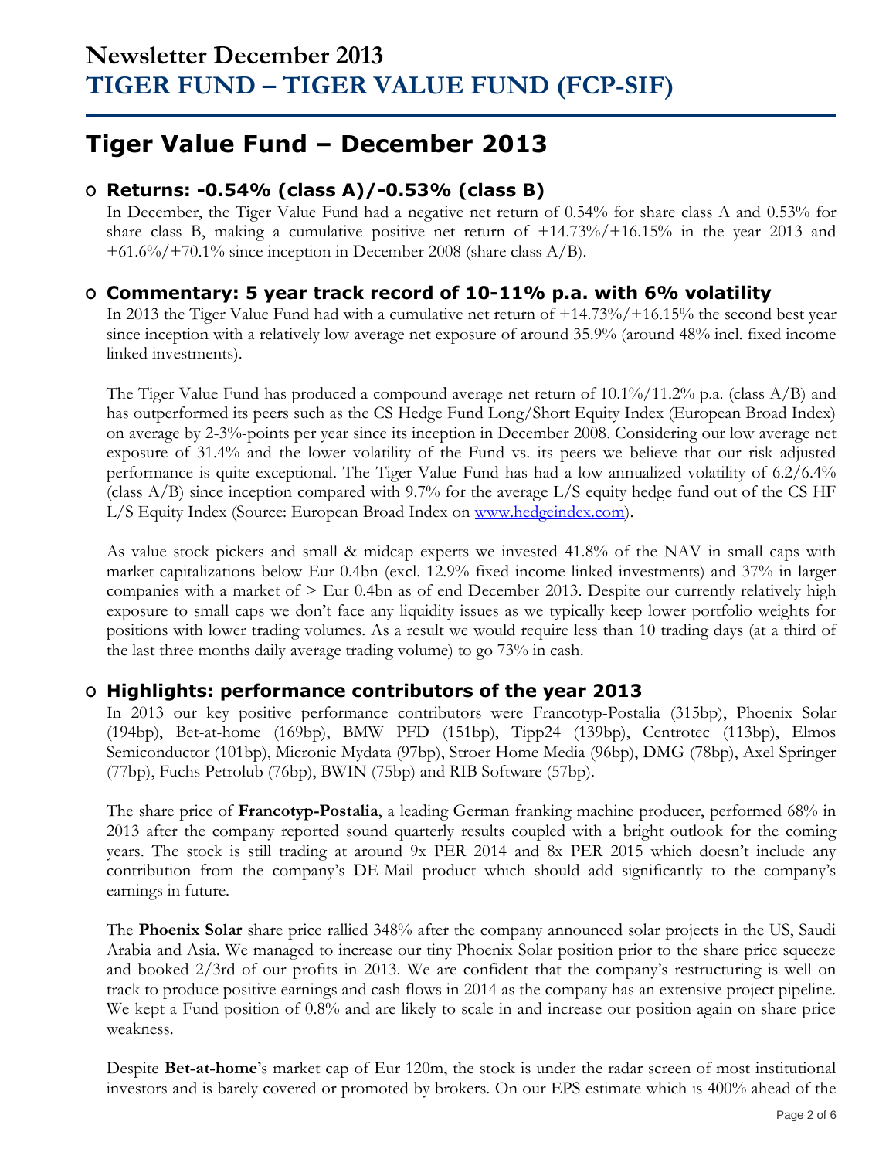## **Tiger Value Fund – December 2013**

## **O Returns: -0.54% (class A)/-0.53% (class B)**

In December, the Tiger Value Fund had a negative net return of 0.54% for share class A and 0.53% for share class B, making a cumulative positive net return of +14.73%/+16.15% in the year 2013 and +61.6%/+70.1% since inception in December 2008 (share class A/B).

### **O Commentary: 5 year track record of 10-11% p.a. with 6% volatility**

In 2013 the Tiger Value Fund had with a cumulative net return of +14.73%/+16.15% the second best year since inception with a relatively low average net exposure of around 35.9% (around 48% incl. fixed income linked investments).

The Tiger Value Fund has produced a compound average net return of 10.1%/11.2% p.a. (class A/B) and has outperformed its peers such as the CS Hedge Fund Long/Short Equity Index (European Broad Index) on average by 2-3%-points per year since its inception in December 2008. Considering our low average net exposure of 31.4% and the lower volatility of the Fund vs. its peers we believe that our risk adjusted performance is quite exceptional. The Tiger Value Fund has had a low annualized volatility of 6.2/6.4% (class A/B) since inception compared with 9.7% for the average L/S equity hedge fund out of the CS HF L/S Equity Index (Source: European Broad Index on [www.hedgeindex.com\)](http://www.hedgeindex.com/).

As value stock pickers and small & midcap experts we invested 41.8% of the NAV in small caps with market capitalizations below Eur 0.4bn (excl. 12.9% fixed income linked investments) and 37% in larger companies with a market of > Eur 0.4bn as of end December 2013. Despite our currently relatively high exposure to small caps we don't face any liquidity issues as we typically keep lower portfolio weights for positions with lower trading volumes. As a result we would require less than 10 trading days (at a third of the last three months daily average trading volume) to go 73% in cash.

## **O Highlights: performance contributors of the year 2013**

In 2013 our key positive performance contributors were Francotyp-Postalia (315bp), Phoenix Solar (194bp), Bet-at-home (169bp), BMW PFD (151bp), Tipp24 (139bp), Centrotec (113bp), Elmos Semiconductor (101bp), Micronic Mydata (97bp), Stroer Home Media (96bp), DMG (78bp), Axel Springer (77bp), Fuchs Petrolub (76bp), BWIN (75bp) and RIB Software (57bp).

The share price of **Francotyp-Postalia**, a leading German franking machine producer, performed 68% in 2013 after the company reported sound quarterly results coupled with a bright outlook for the coming years. The stock is still trading at around 9x PER 2014 and 8x PER 2015 which doesn't include any contribution from the company's DE-Mail product which should add significantly to the company's earnings in future.

The **Phoenix Solar** share price rallied 348% after the company announced solar projects in the US, Saudi Arabia and Asia. We managed to increase our tiny Phoenix Solar position prior to the share price squeeze and booked 2/3rd of our profits in 2013. We are confident that the company's restructuring is well on track to produce positive earnings and cash flows in 2014 as the company has an extensive project pipeline. We kept a Fund position of  $0.8\%$  and are likely to scale in and increase our position again on share price weakness.

Despite **Bet-at-home**'s market cap of Eur 120m, the stock is under the radar screen of most institutional investors and is barely covered or promoted by brokers. On our EPS estimate which is 400% ahead of the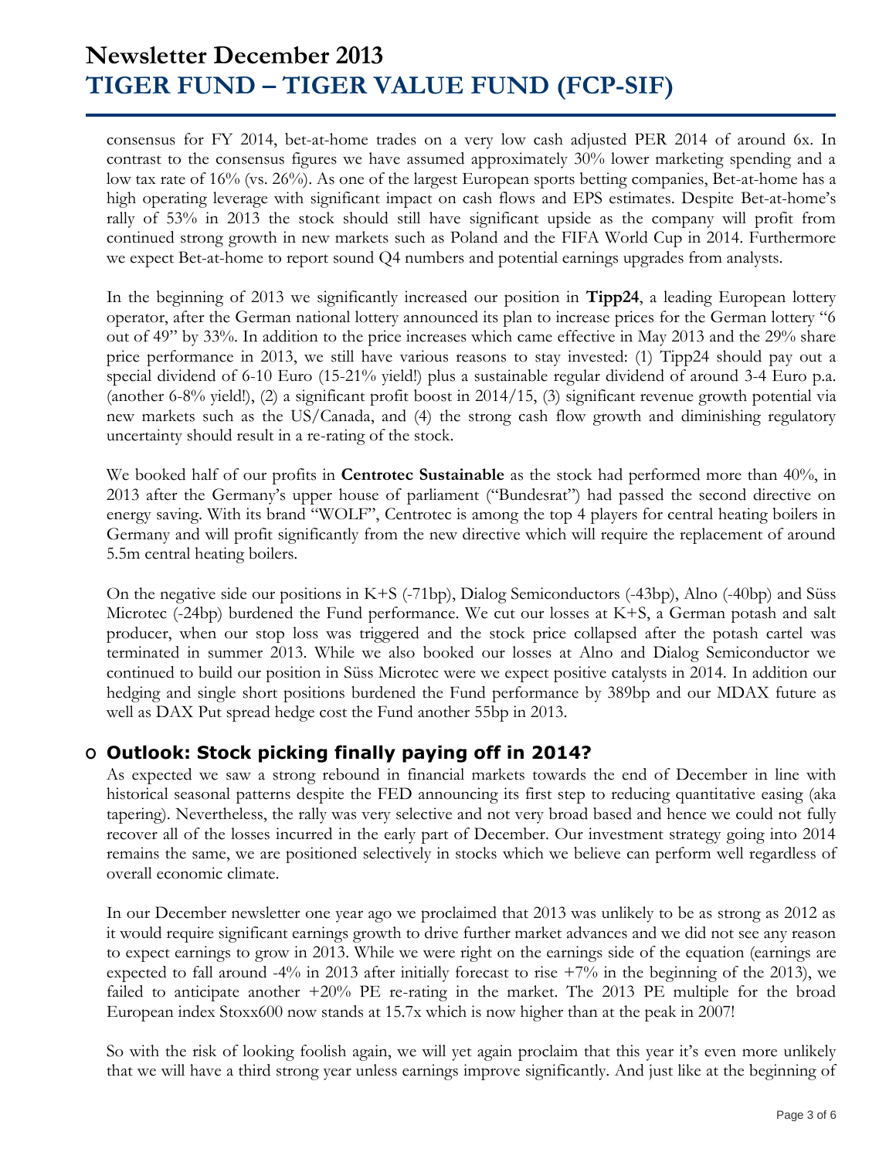## **Newsletter December 2013 TIGER FUND – TIGER VALUE FUND (FCP-SIF)**

consensus for FY 2014, bet-at-home trades on a very low cash adjusted PER 2014 of around 6x. In contrast to the consensus figures we have assumed approximately 30% lower marketing spending and a low tax rate of 16% (vs. 26%). As one of the largest European sports betting companies, Bet-at-home has a high operating leverage with significant impact on cash flows and EPS estimates. Despite Bet-at-home's rally of 53% in 2013 the stock should still have significant upside as the company will profit from continued strong growth in new markets such as Poland and the FIFA World Cup in 2014. Furthermore we expect Bet-at-home to report sound Q4 numbers and potential earnings upgrades from analysts.

In the beginning of 2013 we significantly increased our position in **Tipp24**, a leading European lottery operator, after the German national lottery announced its plan to increase prices for the German lottery "6 out of 49" by 33%. In addition to the price increases which came effective in May 2013 and the 29% share price performance in 2013, we still have various reasons to stay invested: (1) Tipp24 should pay out a special dividend of 6-10 Euro (15-21% yield!) plus a sustainable regular dividend of around 3-4 Euro p.a. (another 6-8% yield!), (2) a significant profit boost in 2014/15, (3) significant revenue growth potential via new markets such as the US/Canada, and (4) the strong cash flow growth and diminishing regulatory uncertainty should result in a re-rating of the stock.

We booked half of our profits in **Centrotec Sustainable** as the stock had performed more than 40%, in 2013 after the Germany's upper house of parliament ("Bundesrat") had passed the second directive on energy saving. With its brand "WOLF", Centrotec is among the top 4 players for central heating boilers in Germany and will profit significantly from the new directive which will require the replacement of around 5.5m central heating boilers.

On the negative side our positions in K+S (-71bp), Dialog Semiconductors (-43bp), Alno (-40bp) and Süss Microtec (-24bp) burdened the Fund performance. We cut our losses at K+S, a German potash and salt producer, when our stop loss was triggered and the stock price collapsed after the potash cartel was terminated in summer 2013. While we also booked our losses at Alno and Dialog Semiconductor we continued to build our position in Süss Microtec were we expect positive catalysts in 2014. In addition our hedging and single short positions burdened the Fund performance by 389bp and our MDAX future as well as DAX Put spread hedge cost the Fund another 55bp in 2013.

### **O Outlook: Stock picking finally paying off in 2014?**

As expected we saw a strong rebound in financial markets towards the end of December in line with historical seasonal patterns despite the FED announcing its first step to reducing quantitative easing (aka tapering). Nevertheless, the rally was very selective and not very broad based and hence we could not fully recover all of the losses incurred in the early part of December. Our investment strategy going into 2014 remains the same, we are positioned selectively in stocks which we believe can perform well regardless of overall economic climate.

In our December newsletter one year ago we proclaimed that 2013 was unlikely to be as strong as 2012 as it would require significant earnings growth to drive further market advances and we did not see any reason to expect earnings to grow in 2013. While we were right on the earnings side of the equation (earnings are expected to fall around -4% in 2013 after initially forecast to rise  $+7\%$  in the beginning of the 2013), we failed to anticipate another +20% PE re-rating in the market. The 2013 PE multiple for the broad European index Stoxx600 now stands at 15.7x which is now higher than at the peak in 2007!

So with the risk of looking foolish again, we will yet again proclaim that this year it's even more unlikely that we will have a third strong year unless earnings improve significantly. And just like at the beginning of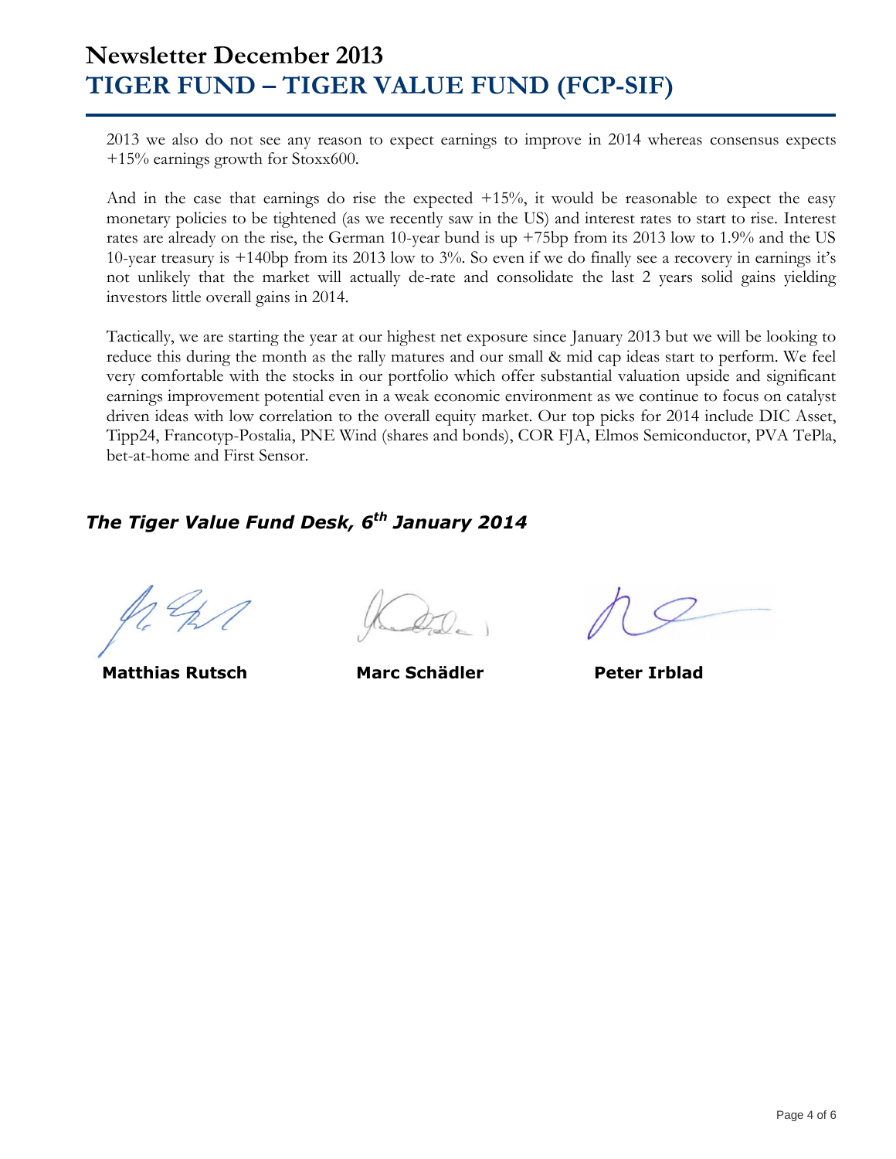## **Newsletter December 2013 TIGER FUND – TIGER VALUE FUND (FCP-SIF)**

2013 we also do not see any reason to expect earnings to improve in 2014 whereas consensus expects +15% earnings growth for Stoxx600.

And in the case that earnings do rise the expected +15%, it would be reasonable to expect the easy monetary policies to be tightened (as we recently saw in the US) and interest rates to start to rise. Interest rates are already on the rise, the German 10-year bund is up +75bp from its 2013 low to 1.9% and the US 10-year treasury is +140bp from its 2013 low to 3%. So even if we do finally see a recovery in earnings it's not unlikely that the market will actually de-rate and consolidate the last 2 years solid gains yielding investors little overall gains in 2014.

Tactically, we are starting the year at our highest net exposure since January 2013 but we will be looking to reduce this during the month as the rally matures and our small & mid cap ideas start to perform. We feel very comfortable with the stocks in our portfolio which offer substantial valuation upside and significant earnings improvement potential even in a weak economic environment as we continue to focus on catalyst driven ideas with low correlation to the overall equity market. Our top picks for 2014 include DIC Asset, Tipp24, Francotyp-Postalia, PNE Wind (shares and bonds), COR FJA, Elmos Semiconductor, PVA TePla, bet-at-home and First Sensor.

### *The Tiger Value Fund Desk, 6 th January 2014*

**Matthias Rutsch Marc Schädler Peter Irblad**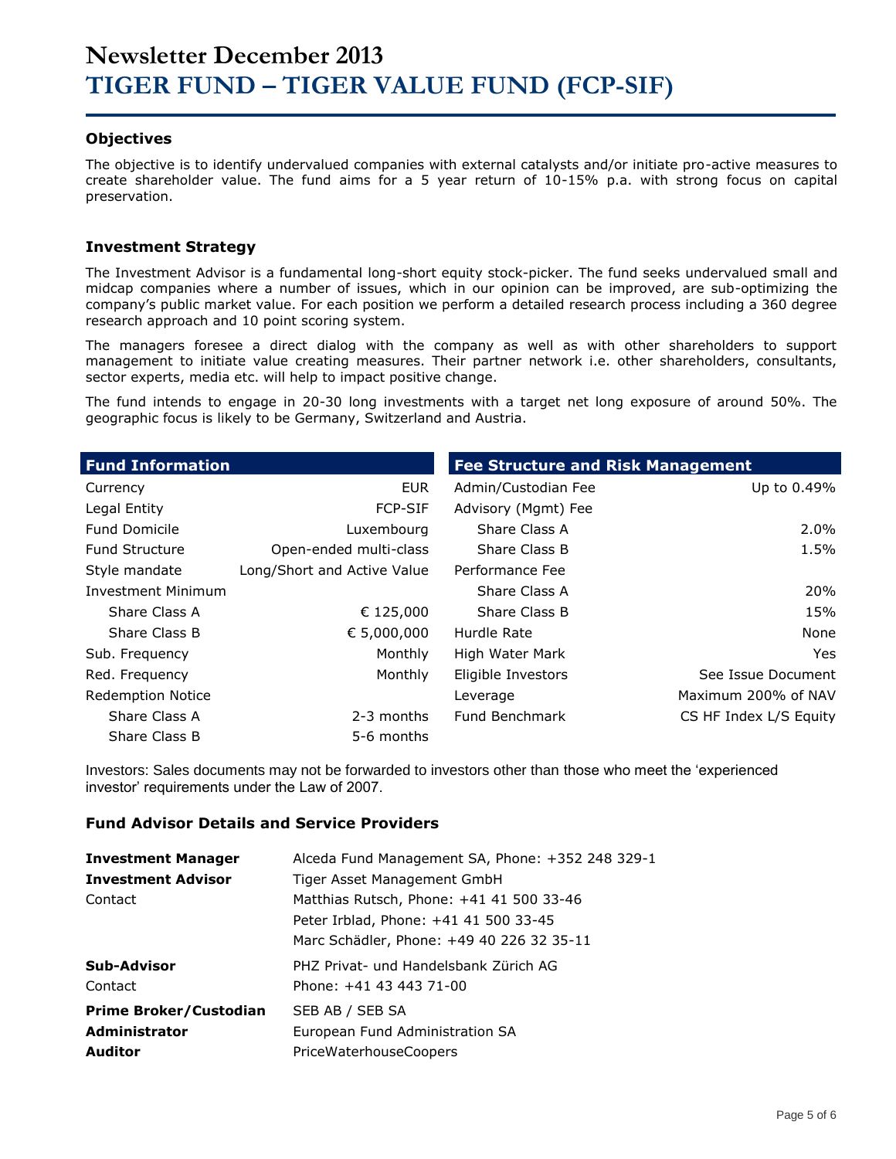#### **Objectives**

The objective is to identify undervalued companies with external catalysts and/or initiate pro-active measures to create shareholder value. The fund aims for a 5 year return of 10-15% p.a. with strong focus on capital preservation.

#### **Investment Strategy**

The Investment Advisor is a fundamental long-short equity stock-picker. The fund seeks undervalued small and midcap companies where a number of issues, which in our opinion can be improved, are sub-optimizing the company's public market value. For each position we perform a detailed research process including a 360 degree research approach and 10 point scoring system.

The managers foresee a direct dialog with the company as well as with other shareholders to support management to initiate value creating measures. Their partner network i.e. other shareholders, consultants, sector experts, media etc. will help to impact positive change.

The fund intends to engage in 20-30 long investments with a target net long exposure of around 50%. The geographic focus is likely to be Germany, Switzerland and Austria.

| <b>Fund Information</b>   |                             | <b>Fee Structure and Risk Management</b> |                        |  |  |  |
|---------------------------|-----------------------------|------------------------------------------|------------------------|--|--|--|
| Currency                  | <b>EUR</b>                  | Admin/Custodian Fee                      | Up to 0.49%            |  |  |  |
| Legal Entity              | <b>FCP-SIF</b>              | Advisory (Mgmt) Fee                      |                        |  |  |  |
| <b>Fund Domicile</b>      | Luxembourg                  | Share Class A                            | $2.0\%$                |  |  |  |
| <b>Fund Structure</b>     | Open-ended multi-class      | Share Class B                            | 1.5%                   |  |  |  |
| Style mandate             | Long/Short and Active Value | Performance Fee                          |                        |  |  |  |
| <b>Investment Minimum</b> |                             | Share Class A                            | <b>20%</b>             |  |  |  |
| Share Class A             | € 125,000                   | Share Class B                            | 15%                    |  |  |  |
| Share Class B             | € 5,000,000                 | Hurdle Rate                              | None                   |  |  |  |
| Sub. Frequency            | Monthly                     | High Water Mark                          | Yes.                   |  |  |  |
| Red. Frequency            | Monthly                     | Eligible Investors                       | See Issue Document     |  |  |  |
| <b>Redemption Notice</b>  |                             | Leverage                                 | Maximum 200% of NAV    |  |  |  |
| Share Class A             | 2-3 months                  | Fund Benchmark                           | CS HF Index L/S Equity |  |  |  |
| Share Class B             | 5-6 months                  |                                          |                        |  |  |  |

Investors: Sales documents may not be forwarded to investors other than those who meet the 'experienced investor' requirements under the Law of 2007.

#### **Fund Advisor Details and Service Providers**

| <b>Investment Manager</b>     | Alceda Fund Management SA, Phone: +352 248 329-1 |
|-------------------------------|--------------------------------------------------|
| <b>Investment Advisor</b>     | Tiger Asset Management GmbH                      |
| Contact                       | Matthias Rutsch, Phone: +41 41 500 33-46         |
|                               | Peter Irblad, Phone: +41 41 500 33-45            |
|                               | Marc Schädler, Phone: +49 40 226 32 35-11        |
| Sub-Advisor                   | PHZ Privat- und Handelsbank Zürich AG            |
| Contact                       | Phone: +41 43 443 71-00                          |
| <b>Prime Broker/Custodian</b> | SEB AB / SEB SA                                  |
| <b>Administrator</b>          | European Fund Administration SA                  |
| <b>Auditor</b>                | PriceWaterhouseCoopers                           |